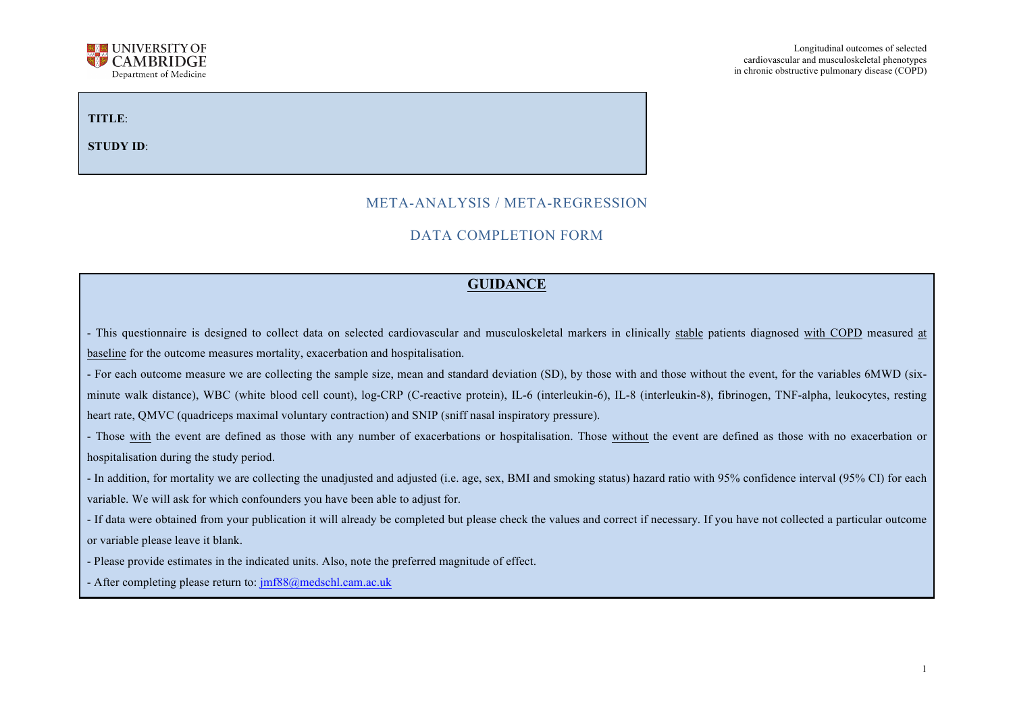

# **TITLE**:

**STUDY ID**:

## META-ANALYSIS / META-REGRESSION

## DATA COMPLETION FORM

#### **GUIDANCE**

- This questionnaire is designed to collect data on selected cardiovascular and musculoskeletal markers in clinically stable patients diagnosed with COPD measured at baseline for the outcome measures mortality, exacerbation and hospitalisation.

- For each outcome measure we are collecting the sample size, mean and standard deviation (SD), by those with and those without the event, for the variables 6MWD (sixminute walk distance), WBC (white blood cell count), log-CRP (C-reactive protein), IL-6 (interleukin-6), IL-8 (interleukin-8), fibrinogen, TNF-alpha, leukocytes, resting heart rate, QMVC (quadriceps maximal voluntary contraction) and SNIP (sniff nasal inspiratory pressure).

- Those with the event are defined as those with any number of exacerbations or hospitalisation. Those without the event are defined as those with no exacerbation or hospitalisation during the study period.

- In addition, for mortality we are collecting the unadjusted and adjusted (i.e. age, sex, BMI and smoking status) hazard ratio with 95% confidence interval (95% CI) for each variable. We will ask for which confounders you have been able to adjust for.

- If data were obtained from your publication it will already be completed but please check the values and correct if necessary. If you have not collected a particular outcome or variable please leave it blank.

- Please provide estimates in the indicated units. Also, note the preferred magnitude of effect.

- After completing please return to: jmf88@medschl.cam.ac.uk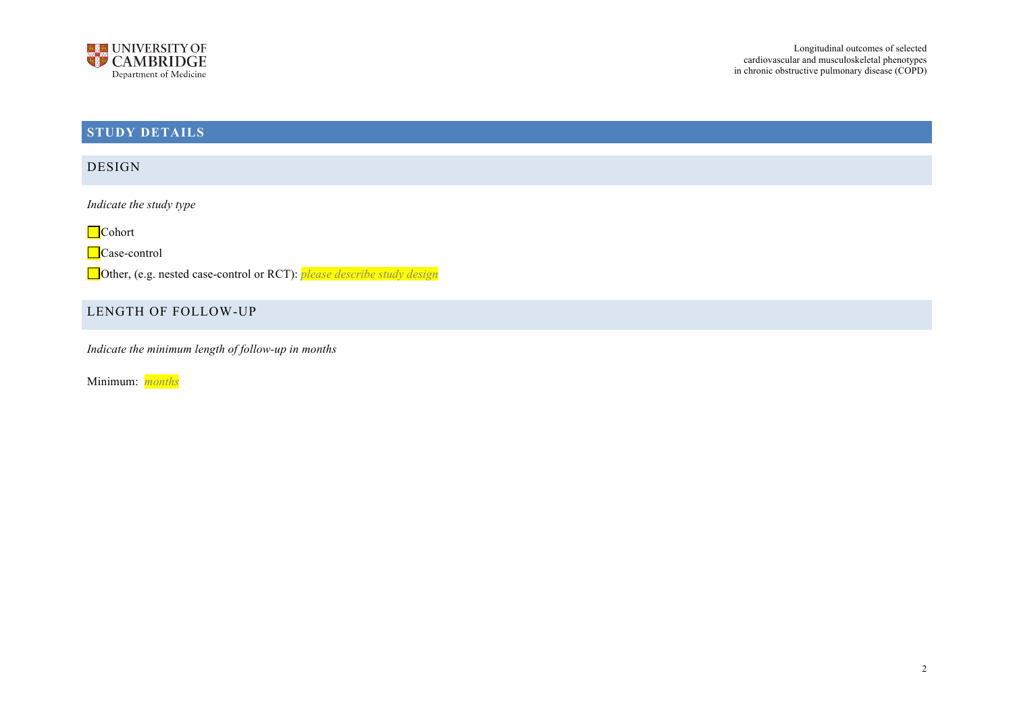

# **STUDY DETAILS**

DESIGN

*Indicate the study type*

■Cohort

Case-control

Other, (e.g. nested case-control or RCT): *please describe study design*

## LENGTH OF FOLLOW-UP

*Indicate the minimum length of follow-up in months*

Minimum: *months*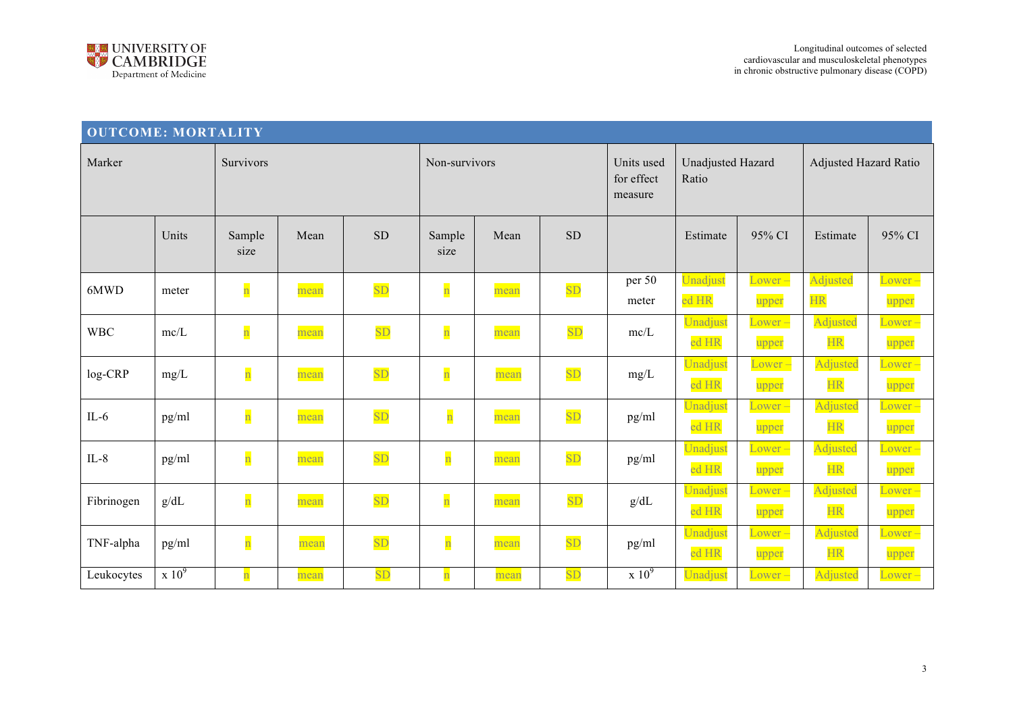

| <b>OUTCOME: MORTALITY</b> |                                       |                         |      |           |                         |      |           |                                       |                            |                                  |                              |                    |
|---------------------------|---------------------------------------|-------------------------|------|-----------|-------------------------|------|-----------|---------------------------------------|----------------------------|----------------------------------|------------------------------|--------------------|
| Marker                    |                                       | Survivors               |      |           | Non-survivors           |      |           | Units used<br>for effect<br>measure   | Unadjusted Hazard<br>Ratio |                                  | <b>Adjusted Hazard Ratio</b> |                    |
|                           | Units                                 | Sample<br>size          | Mean | <b>SD</b> | Sample<br>size          | Mean | <b>SD</b> |                                       | Estimate                   | 95% CI                           | Estimate                     | 95% CI             |
| 6MWD                      | meter                                 | $\overline{\mathbf{n}}$ | mean | SD        | $\overline{\mathbf{n}}$ | mean | SD        | per 50                                | Unadjust                   | $Lower -$                        | Adjusted                     | Lower-             |
|                           |                                       |                         |      |           |                         |      |           | meter                                 | ed HR                      | upper                            | <b>HR</b>                    | upper              |
| <b>WBC</b>                | mc/L                                  | $\overline{\mathbf{n}}$ | mean | SD        | $\overline{\mathbf{n}}$ | mean | SD        | mc/L                                  | Unadjust<br>ed HR          | $Lower -$<br>upper               | <b>Adjusted</b><br><b>HR</b> | Lower<br>upper     |
| log-CRP                   | mg/L                                  | $\overline{\mathbf{n}}$ | mean | SD        | $\overline{\mathbf{n}}$ | mean | SD        | mg/L                                  | Unadjust<br>ed HR          | $Lower -$<br>upper               | Adjusted<br><b>HR</b>        | Lower<br>upper     |
| $IL-6$                    | pg/ml                                 | $\overline{\mathbf{n}}$ | mean | SD        | $\overline{\mathbf{n}}$ | mean | SD        | pg/ml                                 | Unadjust<br>ed HR          | $_{\textcirc}$ ower $-$<br>upper | Adjusted<br><b>HR</b>        | Lower<br>upper     |
| $IL-8$                    | pg/ml                                 | $\overline{\mathbf{n}}$ | mean | SD        | $\overline{\mathbf{n}}$ | mean | SD        | pg/ml                                 | Unadjust<br>ed HR          | $_{\textcirc}$ ower $-$<br>upper | Adjusted<br><b>HR</b>        | Lower-<br>upper    |
| Fibrinogen                | g/dL                                  | $\overline{\mathbf{n}}$ | mean | SD        | $\overline{\mathbf{n}}$ | mean | SD        | g/dL                                  | Unadjust<br>ed HR          | $Lower -$<br>upper               | Adjusted<br><b>HR</b>        | $Lower -$<br>upper |
| TNF-alpha                 | pg/ml                                 | $\overline{\mathbf{n}}$ | mean | SD        | $\overline{\mathbf{n}}$ | mean | SD        | pg/ml                                 | Unadjust<br>ed HR          | $_{\textcirc}$ ower $-$<br>upper | Adjusted<br><b>HR</b>        | Lower<br>upper     |
| Leukocytes                | $\overline{\text{X}}$ 10 <sup>9</sup> | $\overline{\mathbf{n}}$ | mean | SD        | $\overline{\mathbf{n}}$ | mean | <b>SD</b> | $\overline{\text{X}}$ 10 <sup>9</sup> | Unadjust                   | Lower –                          | Adjusted                     | Lower-             |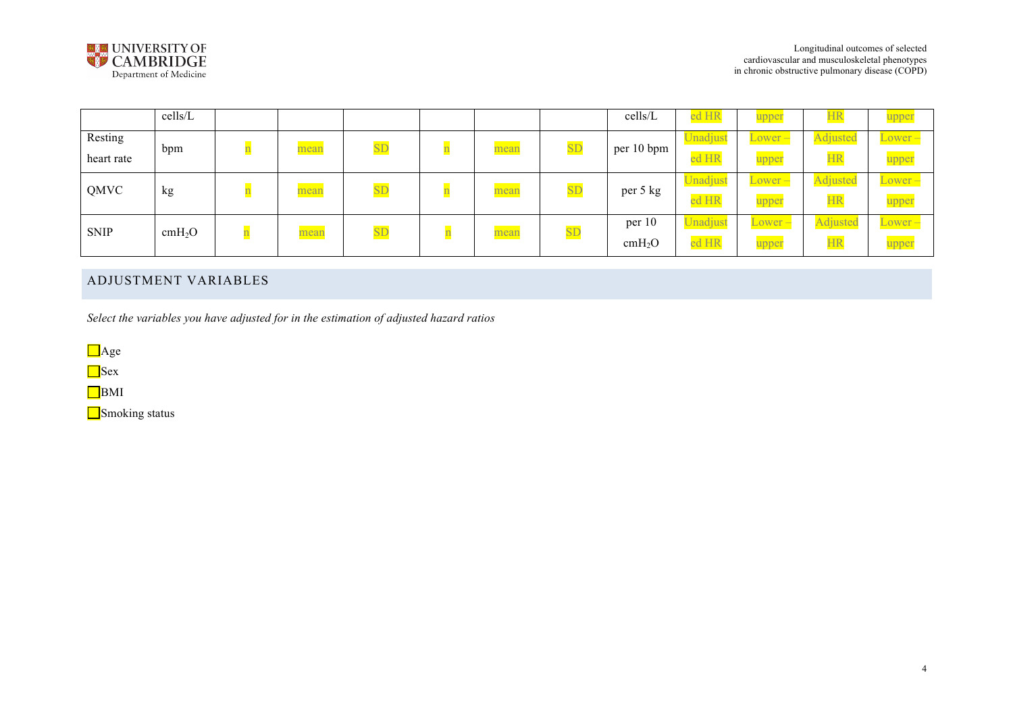

|             | cells/L            |      |                        |      |                        | cells/L            | ed HR    | upper     | <u>НК</u> | upper           |
|-------------|--------------------|------|------------------------|------|------------------------|--------------------|----------|-----------|-----------|-----------------|
| Resting     | bpm                | mean | $\overline{\text{SL}}$ | mean | $\overline{\text{SD}}$ | per 10 bpm         | Unadjust | $Lower -$ | Adjusted  | Lower –         |
| heart rate  |                    |      |                        |      |                        |                    | ed HR    | upper     | <b>HR</b> | upper           |
| QMVC        | kg                 | mean | $\overline{\text{SD}}$ | mean | SD                     | per 5 kg           | Unadjust | $Lower -$ | Adjusted  | $\angle$ ower – |
|             |                    |      |                        |      |                        |                    | ed HR    | upper     | <b>HR</b> | upper           |
| <b>SNIP</b> |                    |      | $\overline{\text{SL}}$ |      | SD                     | per 10             | Unadjust | $Lower -$ | Adjusted  | $Lower -$       |
|             | cmH <sub>2</sub> O | mean |                        | mean |                        | cmH <sub>2</sub> O | ed HR    | upper     | <b>HR</b> | upper           |

# ADJUSTMENT VARIABLES

*Select the variables you have adjusted for in the estimation of adjusted hazard ratios*

**D**Age

**S**ex

**B**MI

Smoking status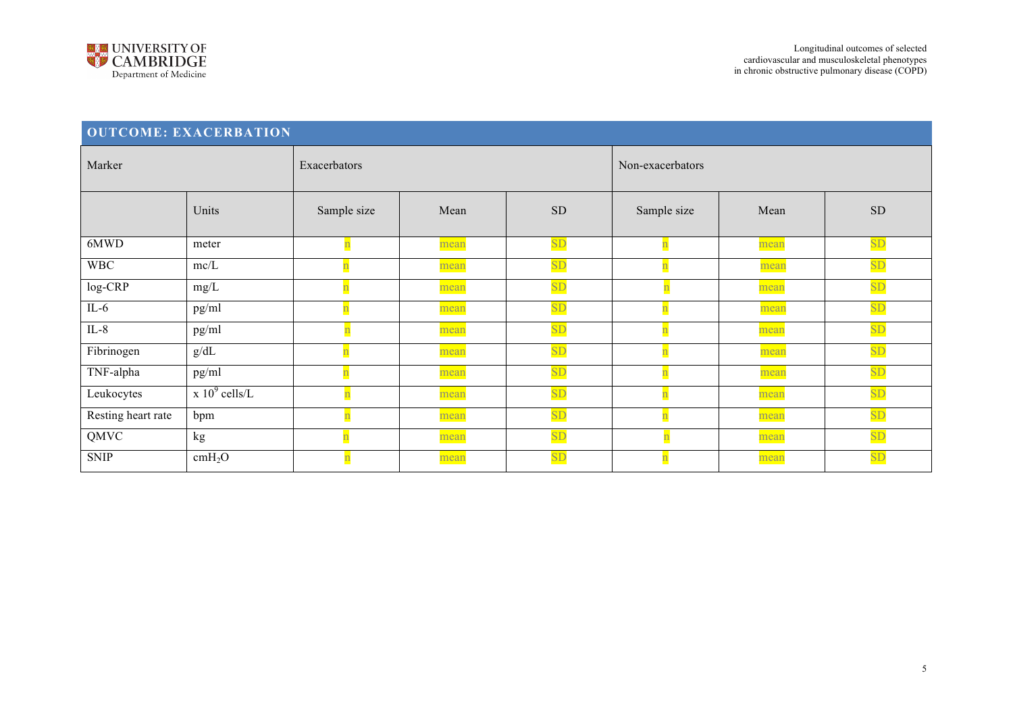

| <b>OUTCOME: EXACERBATION</b> |                                           |             |  |      |                  |  |                         |      |           |  |  |
|------------------------------|-------------------------------------------|-------------|--|------|------------------|--|-------------------------|------|-----------|--|--|
| Marker                       | Exacerbators                              |             |  |      | Non-exacerbators |  |                         |      |           |  |  |
|                              | Units                                     | Sample size |  | Mean | <b>SD</b>        |  | Sample size             | Mean | <b>SD</b> |  |  |
| 6MWD                         | meter                                     |             |  | mean | SD               |  |                         | mean | SD        |  |  |
| <b>WBC</b>                   | mc/L                                      |             |  | mean | <b>SD</b>        |  |                         | mean | SD        |  |  |
| log-CRP                      | $mg/L$                                    |             |  | mean | SD               |  | $\overline{\mathbf{n}}$ | mean | SD        |  |  |
| $IL-6$                       | pg/ml                                     |             |  | mean | SD               |  |                         | mean | <b>SD</b> |  |  |
| IL- $8$                      | pg/ml                                     |             |  | mean | SD               |  |                         | mean | SD        |  |  |
| Fibrinogen                   | $g/dL$                                    |             |  | mean | SD               |  |                         | mean | <b>SD</b> |  |  |
| TNF-alpha                    | pg/ml                                     |             |  | mean | SD               |  |                         | mean | <b>SD</b> |  |  |
| Leukocytes                   | $\overline{\chi}$ 10 <sup>9</sup> cells/L |             |  | mean | SD               |  |                         | mean | SD        |  |  |
| Resting heart rate           | bpm                                       |             |  | mean | SD               |  |                         | mean | SD        |  |  |
| QMVC                         | kg                                        |             |  | mean | SD               |  | $\mathbf n$             | mean | SD        |  |  |
| <b>SNIP</b>                  | cmH <sub>2</sub> O                        |             |  | mean | <b>SD</b>        |  |                         | mean | SD        |  |  |